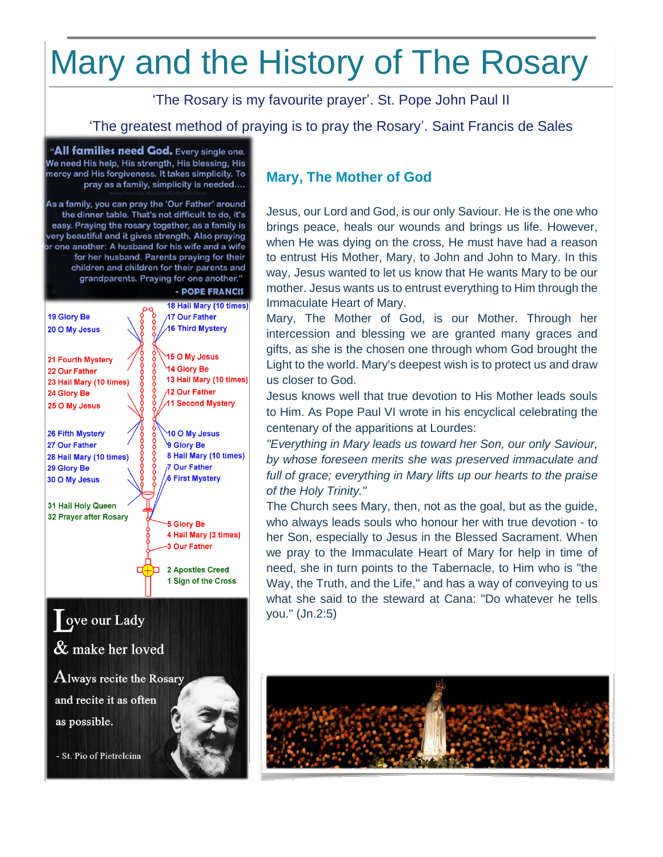# Mary and the History of The Rosary

'The Rosary is my favourite prayer'. St. Pope John Paul II

'The greatest method of praying is to pray the Rosary'. Saint Francis de Sales

"All families need God. Every single one. We need His help, His strength, His blessing, His mercy and His forgiveness. It takes simplicity. To pray as a family, simplicity is needed....

As a family, you can pray the 'Our Father' around the dinner table. That's not difficult to do, it's easy. Praying the rosary together, as a family is very beautiful and it gives strength. Also praying or one another: A husband for his wife and a wife for her husband. Parents praying for their children and children for their parents and grandparents. Praying for one another."



# ove our Lady  $\&$  make her loved  ${\rm\bf A}$ lways recite the Rosary

and recite it as often as possible.

- St. Pio of Pietrelcina

## **Mary, The Mother of God**

Jesus, our Lord and God, is our only Saviour. He is the one who brings peace, heals our wounds and brings us life. However, when He was dying on the cross, He must have had a reason to entrust His Mother, Mary, to John and John to Mary. In this way, Jesus wanted to let us know that He wants Mary to be our mother. Jesus wants us to entrust everything to Him through the Immaculate Heart of Mary.

Mary, The Mother of God, is our Mother. Through her intercession and blessing we are granted many graces and gifts, as she is the chosen one through whom God brought the Light to the world. Mary's deepest wish is to protect us and draw us closer to God.

Jesus knows well that true devotion to His Mother leads souls to Him. As Pope Paul VI wrote in his encyclical celebrating the centenary of the apparitions at Lourdes:

*"Everything in Mary leads us toward her Son, our only Saviour, by whose foreseen merits she was preserved immaculate and full of grace; everything in Mary lifts up our hearts to the praise of the Holy Trinity."*

The Church sees Mary, then, not as the goal, but as the guide, who always leads souls who honour her with true devotion - to her Son, especially to Jesus in the Blessed Sacrament. When we pray to the Immaculate Heart of Mary for help in time of need, she in turn points to the Tabernacle, to Him who is "the Way, the Truth, and the Life," and has a way of conveying to us what she said to the steward at Cana: "Do whatever he tells you." (Jn.2:5)